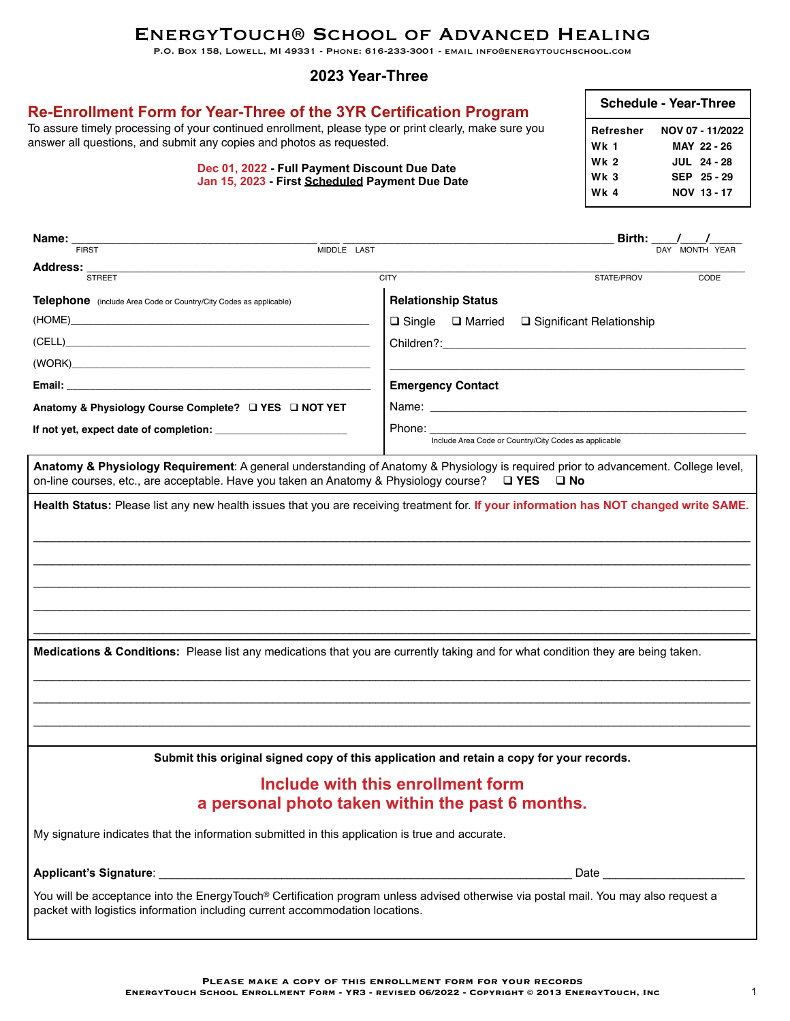# EnergyTouch® School of Advanced Healing

P.O. Box 158, Lowell, MI 49331 - Phone: 616-233-3001 - email info@energytouchschool.com

### **2023 Year-Three**

| Re-Enrollment Form for Year-Three of the 3YR Certification Program<br>To assure timely processing of your continued enrollment, please type or print clearly, make sure you<br>answer all questions, and submit any copies and photos as requested.<br>Dec 01, 2022 - Full Payment Discount Due Date<br>Jan 15, 2023 - First Scheduled Payment Due Date |                                              |                                                                                                                                                                                                                                |            | <b>Schedule - Year-Three</b>                                                          |  |  |
|---------------------------------------------------------------------------------------------------------------------------------------------------------------------------------------------------------------------------------------------------------------------------------------------------------------------------------------------------------|----------------------------------------------|--------------------------------------------------------------------------------------------------------------------------------------------------------------------------------------------------------------------------------|------------|---------------------------------------------------------------------------------------|--|--|
|                                                                                                                                                                                                                                                                                                                                                         |                                              |                                                                                                                                                                                                                                |            | NOV 07 - 11/2022<br>MAY 22 - 26<br><b>JUL 24 - 28</b><br>SEP 25-29<br>NOV 13-17       |  |  |
|                                                                                                                                                                                                                                                                                                                                                         |                                              |                                                                                                                                                                                                                                |            |                                                                                       |  |  |
| Name:<br><b>FIRST</b>                                                                                                                                                                                                                                                                                                                                   | $\overline{\text{MIDDLE} \quad \text{LAST}}$ |                                                                                                                                                                                                                                |            | <b>Birth:</b> $\frac{1}{\frac{1}{\frac{1}{\frac{1}{\frac{1}{\sqrt{1}}}}}}$ MONTH YEAR |  |  |
| Address:<br><b>STREET</b>                                                                                                                                                                                                                                                                                                                               |                                              | <b>CITY</b>                                                                                                                                                                                                                    | STATE/PROV | CODE                                                                                  |  |  |
| <b>Telephone</b> (include Area Code or Country/City Codes as applicable)                                                                                                                                                                                                                                                                                |                                              | <b>Relationship Status</b>                                                                                                                                                                                                     |            |                                                                                       |  |  |
|                                                                                                                                                                                                                                                                                                                                                         |                                              | $\Box$ Single $\Box$ Married $\Box$ Significant Relationship                                                                                                                                                                   |            |                                                                                       |  |  |
| Children?: Explorer that the contract of the contract of the contract of the contract of the contract of the contract of the contract of the contract of the contract of the contract of the contract of the contract of the c                                                                                                                          |                                              |                                                                                                                                                                                                                                |            |                                                                                       |  |  |
| (WORK)                                                                                                                                                                                                                                                                                                                                                  |                                              |                                                                                                                                                                                                                                |            |                                                                                       |  |  |
|                                                                                                                                                                                                                                                                                                                                                         |                                              | <b>Emergency Contact</b>                                                                                                                                                                                                       |            |                                                                                       |  |  |
| Anatomy & Physiology Course Complete?<br><u> </u> <b>IVES</b><br><b>IVES</b><br><b>IVES</b>                                                                                                                                                                                                                                                             |                                              | Name: Name: All and the state of the state of the state of the state of the state of the state of the state of the state of the state of the state of the state of the state of the state of the state of the state of the sta |            |                                                                                       |  |  |
| If not yet, expect date of completion:                                                                                                                                                                                                                                                                                                                  |                                              |                                                                                                                                                                                                                                |            |                                                                                       |  |  |
|                                                                                                                                                                                                                                                                                                                                                         |                                              | Include Area Code or Country/City Codes as applicable                                                                                                                                                                          |            |                                                                                       |  |  |
| Anatomy & Physiology Requirement: A general understanding of Anatomy & Physiology is required prior to advancement. College level,<br>on-line courses, etc., are acceptable. Have you taken an Anatomy & Physiology course?                                                                                                                             |                                              | $\Box$ YES $\Box$ No                                                                                                                                                                                                           |            |                                                                                       |  |  |
| Health Status: Please list any new health issues that you are receiving treatment for. If your information has NOT changed write SAME.                                                                                                                                                                                                                  |                                              |                                                                                                                                                                                                                                |            |                                                                                       |  |  |
|                                                                                                                                                                                                                                                                                                                                                         |                                              |                                                                                                                                                                                                                                |            |                                                                                       |  |  |
|                                                                                                                                                                                                                                                                                                                                                         |                                              |                                                                                                                                                                                                                                |            |                                                                                       |  |  |
|                                                                                                                                                                                                                                                                                                                                                         |                                              |                                                                                                                                                                                                                                |            |                                                                                       |  |  |
|                                                                                                                                                                                                                                                                                                                                                         |                                              |                                                                                                                                                                                                                                |            |                                                                                       |  |  |
|                                                                                                                                                                                                                                                                                                                                                         |                                              |                                                                                                                                                                                                                                |            |                                                                                       |  |  |
|                                                                                                                                                                                                                                                                                                                                                         |                                              |                                                                                                                                                                                                                                |            |                                                                                       |  |  |
| Medications & Conditions: Please list any medications that you are currently taking and for what condition they are being taken.                                                                                                                                                                                                                        |                                              |                                                                                                                                                                                                                                |            |                                                                                       |  |  |
|                                                                                                                                                                                                                                                                                                                                                         |                                              |                                                                                                                                                                                                                                |            |                                                                                       |  |  |
|                                                                                                                                                                                                                                                                                                                                                         |                                              |                                                                                                                                                                                                                                |            |                                                                                       |  |  |
|                                                                                                                                                                                                                                                                                                                                                         |                                              |                                                                                                                                                                                                                                |            |                                                                                       |  |  |
|                                                                                                                                                                                                                                                                                                                                                         |                                              | Submit this original signed copy of this application and retain a copy for your records.                                                                                                                                       |            |                                                                                       |  |  |
|                                                                                                                                                                                                                                                                                                                                                         |                                              | Include with this enrollment form                                                                                                                                                                                              |            |                                                                                       |  |  |
| a personal photo taken within the past 6 months.                                                                                                                                                                                                                                                                                                        |                                              |                                                                                                                                                                                                                                |            |                                                                                       |  |  |
| My signature indicates that the information submitted in this application is true and accurate.                                                                                                                                                                                                                                                         |                                              |                                                                                                                                                                                                                                |            |                                                                                       |  |  |
| Applicant's Signature:                                                                                                                                                                                                                                                                                                                                  |                                              |                                                                                                                                                                                                                                | Date       |                                                                                       |  |  |
| You will be acceptance into the EnergyTouch® Certification program unless advised otherwise via postal mail. You may also request a<br>packet with logistics information including current accommodation locations.                                                                                                                                     |                                              |                                                                                                                                                                                                                                |            |                                                                                       |  |  |
|                                                                                                                                                                                                                                                                                                                                                         |                                              |                                                                                                                                                                                                                                |            |                                                                                       |  |  |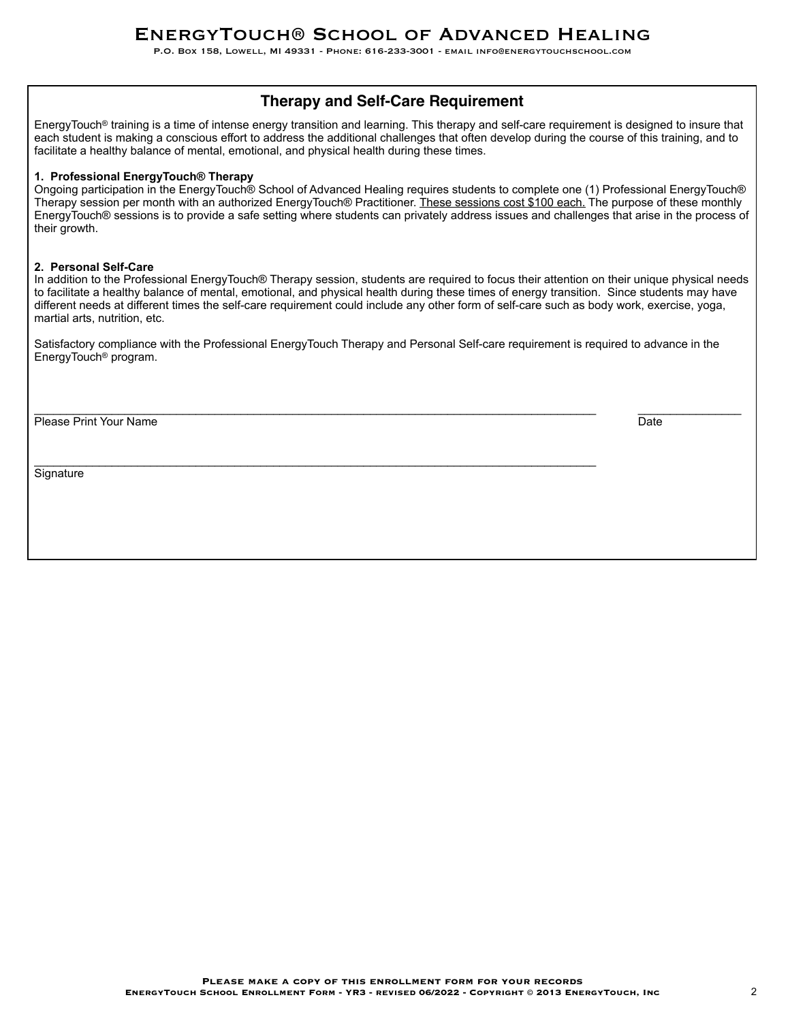P.O. Box 158, Lowell, MI 49331 - Phone: 616-233-3001 - email info@energytouchschool.com

# **Therapy and Self-Care Requirement**

EnergyTouch® training is a time of intense energy transition and learning. This therapy and self-care requirement is designed to insure that each student is making a conscious effort to address the additional challenges that often develop during the course of this training, and to facilitate a healthy balance of mental, emotional, and physical health during these times.

#### **1. Professional EnergyTouch® Therapy**

Ongoing participation in the EnergyTouch® School of Advanced Healing requires students to complete one (1) Professional EnergyTouch® Therapy session per month with an authorized EnergyTouch® Practitioner. These sessions cost \$100 each. The purpose of these monthly EnergyTouch® sessions is to provide a safe setting where students can privately address issues and challenges that arise in the process of their growth.

#### **2. Personal Self-Care**

In addition to the Professional EnergyTouch® Therapy session, students are required to focus their attention on their unique physical needs to facilitate a healthy balance of mental, emotional, and physical health during these times of energy transition. Since students may have different needs at different times the self-care requirement could include any other form of self-care such as body work, exercise, yoga, martial arts, nutrition, etc.

Satisfactory compliance with the Professional EnergyTouch Therapy and Personal Self-care requirement is required to advance in the EnergyTouch® program.

\_\_\_\_\_\_\_\_\_\_\_\_\_\_\_\_\_\_\_\_\_\_\_\_\_\_\_\_\_\_\_\_\_\_\_\_\_\_\_\_\_\_\_\_\_\_\_\_\_\_\_\_\_\_\_\_\_\_\_\_\_\_\_\_\_\_\_\_\_\_\_\_\_\_\_\_\_\_\_\_\_\_\_\_\_\_\_ \_\_\_\_\_\_\_\_\_\_\_\_\_\_\_\_

 $\mathcal{L}_\mathcal{L} = \{ \mathcal{L}_\mathcal{L} = \{ \mathcal{L}_\mathcal{L} = \{ \mathcal{L}_\mathcal{L} = \{ \mathcal{L}_\mathcal{L} = \{ \mathcal{L}_\mathcal{L} = \{ \mathcal{L}_\mathcal{L} = \{ \mathcal{L}_\mathcal{L} = \{ \mathcal{L}_\mathcal{L} = \{ \mathcal{L}_\mathcal{L} = \{ \mathcal{L}_\mathcal{L} = \{ \mathcal{L}_\mathcal{L} = \{ \mathcal{L}_\mathcal{L} = \{ \mathcal{L}_\mathcal{L} = \{ \mathcal{L}_\mathcal{$ 

Please Print Your Name Date New York New York New York New York New York New York New York New York New York New York New York New York New York New York New York New York New York New York New York New York New York New Y

**Signature**